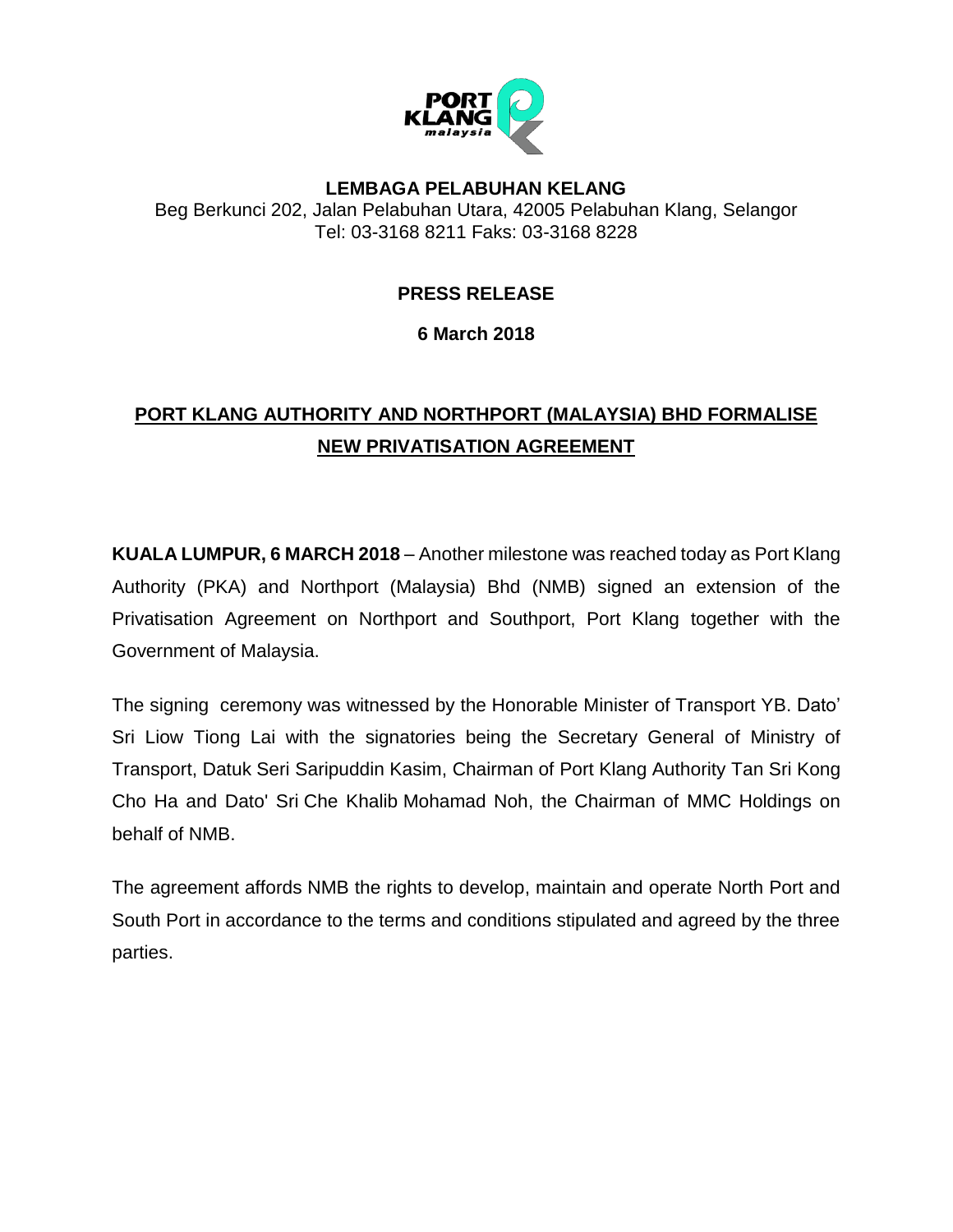

## **LEMBAGA PELABUHAN KELANG** Beg Berkunci 202, Jalan Pelabuhan Utara, 42005 Pelabuhan Klang, Selangor Tel: 03-3168 8211 Faks: 03-3168 8228

## **PRESS RELEASE**

**6 March 2018**

## **PORT KLANG AUTHORITY AND NORTHPORT (MALAYSIA) BHD FORMALISE NEW PRIVATISATION AGREEMENT**

**KUALA LUMPUR, 6 MARCH 2018** – Another milestone was reached today as Port Klang Authority (PKA) and Northport (Malaysia) Bhd (NMB) signed an extension of the Privatisation Agreement on Northport and Southport, Port Klang together with the Government of Malaysia.

The signing ceremony was witnessed by the Honorable Minister of Transport YB. Dato' Sri Liow Tiong Lai with the signatories being the Secretary General of Ministry of Transport, Datuk Seri Saripuddin Kasim, Chairman of Port Klang Authority Tan Sri Kong Cho Ha and Dato' Sri Che Khalib Mohamad Noh, the Chairman of MMC Holdings on behalf of NMB.

The agreement affords NMB the rights to develop, maintain and operate North Port and South Port in accordance to the terms and conditions stipulated and agreed by the three parties.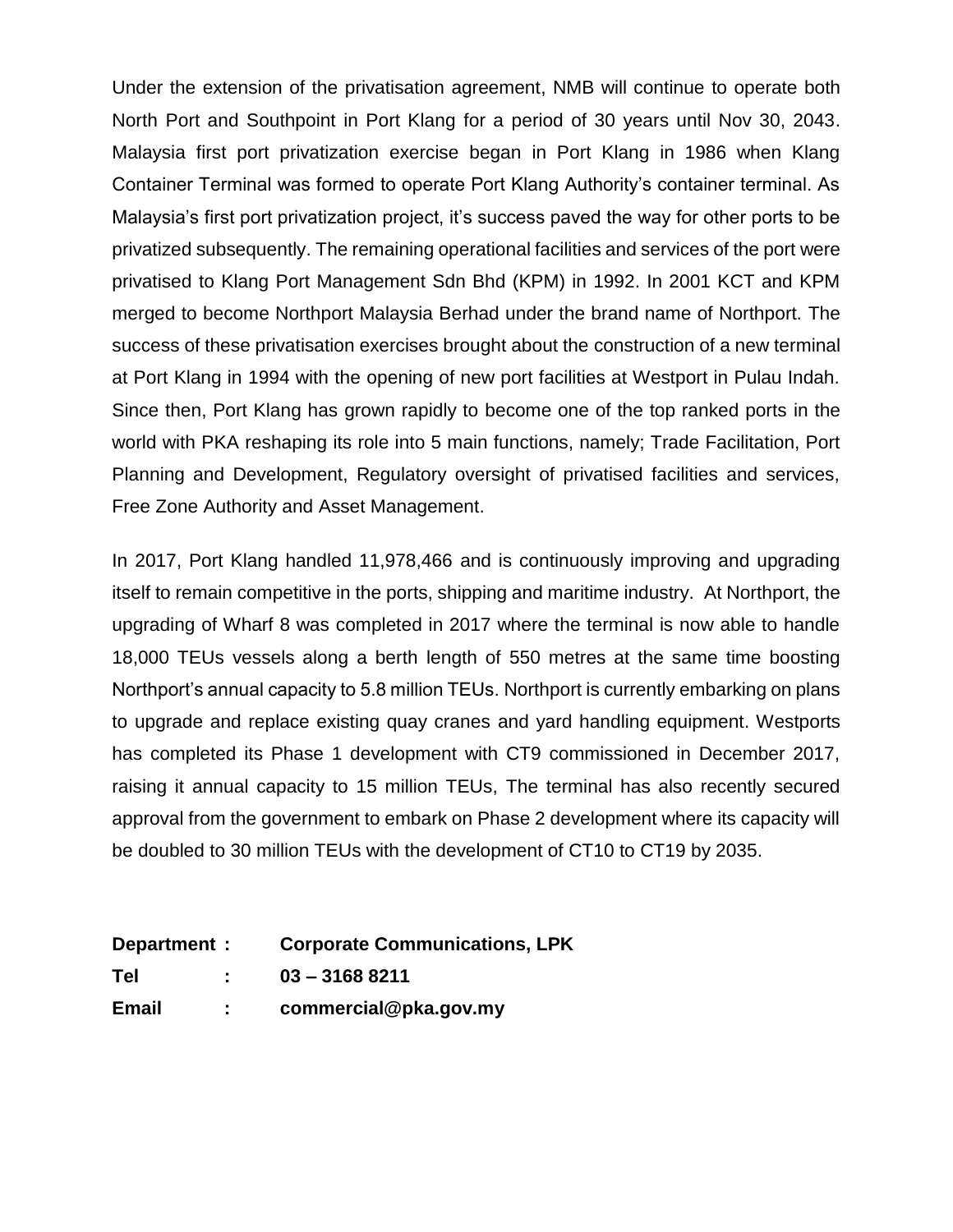Under the extension of the privatisation agreement, NMB will continue to operate both North Port and Southpoint in Port Klang for a period of 30 years until Nov 30, 2043. Malaysia first port privatization exercise began in Port Klang in 1986 when Klang Container Terminal was formed to operate Port Klang Authority's container terminal. As Malaysia's first port privatization project, it's success paved the way for other ports to be privatized subsequently. The remaining operational facilities and services of the port were privatised to Klang Port Management Sdn Bhd (KPM) in 1992. In 2001 KCT and KPM merged to become Northport Malaysia Berhad under the brand name of Northport. The success of these privatisation exercises brought about the construction of a new terminal at Port Klang in 1994 with the opening of new port facilities at Westport in Pulau Indah. Since then, Port Klang has grown rapidly to become one of the top ranked ports in the world with PKA reshaping its role into 5 main functions, namely; Trade Facilitation, Port Planning and Development, Regulatory oversight of privatised facilities and services, Free Zone Authority and Asset Management.

In 2017, Port Klang handled 11,978,466 and is continuously improving and upgrading itself to remain competitive in the ports, shipping and maritime industry. At Northport, the upgrading of Wharf 8 was completed in 2017 where the terminal is now able to handle 18,000 TEUs vessels along a berth length of 550 metres at the same time boosting Northport's annual capacity to 5.8 million TEUs. Northport is currently embarking on plans to upgrade and replace existing quay cranes and yard handling equipment. Westports has completed its Phase 1 development with CT9 commissioned in December 2017, raising it annual capacity to 15 million TEUs, The terminal has also recently secured approval from the government to embark on Phase 2 development where its capacity will be doubled to 30 million TEUs with the development of CT10 to CT19 by 2035.

| Department : |  | <b>Corporate Communications, LPK</b> |
|--------------|--|--------------------------------------|
| Tel          |  | $03 - 31688211$                      |
| <b>Email</b> |  | commercial@pka.gov.my                |